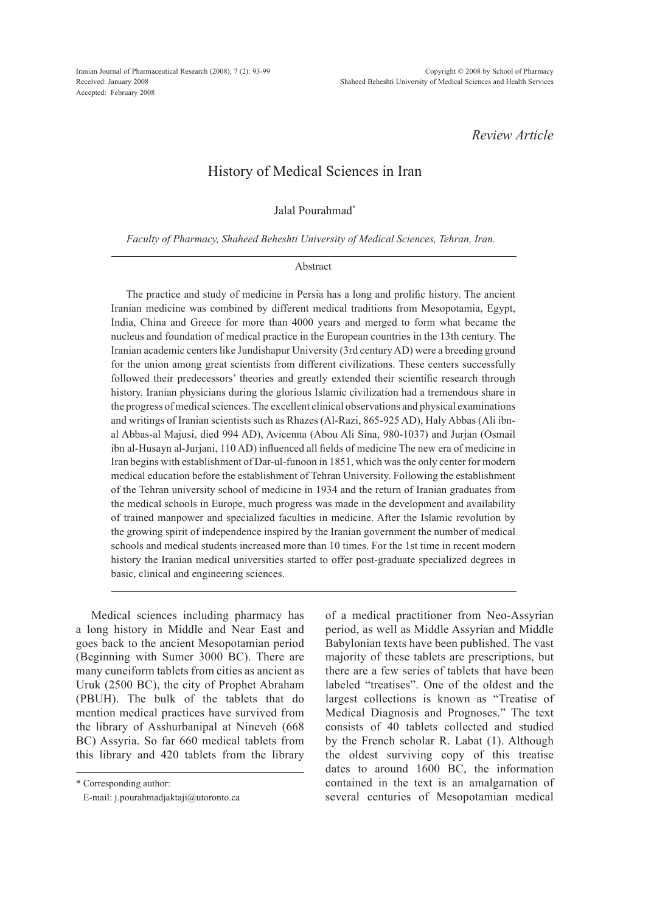*Review Article*

## History of Medical Sciences in Iran

Jalal Pourahmad\*

*Faculty of Pharmacy, Shaheed Beheshti University of Medical Sciences, Tehran, Iran.*

## Abstract

The practice and study of medicine in Persia has a long and prolific history. The ancient Iranian medicine was combined by different medical traditions from Mesopotamia, Egypt, India, China and Greece for more than 4000 years and merged to form what became the nucleus and foundation of medical practice in the European countries in the 13th century. The Iranian academic centers like Jundishapur University (3rd century AD) were a breeding ground for the union among great scientists from different civilizations. These centers successfully followed their predecessors' theories and greatly extended their scientific research through history. Iranian physicians during the glorious Islamic civilization had a tremendous share in the progress of medical sciences. The excellent clinical observations and physical examinations and writings of Iranian scientists such as Rhazes (Al-Razi, 865-925 AD), Haly Abbas (Ali ibnal Abbas-al Majusi, died 994 AD), Avicenna (Abou Ali Sina, 980-1037) and Jurjan (Osmail ibn al-Husayn al-Jurjani, 110 AD) influenced all fields of medicine The new era of medicine in Iran begins with establishment of Dar-ul-funoon in 1851, which was the only center for modern medical education before the establishment of Tehran University. Following the establishment of the Tehran university school of medicine in 1934 and the return of Iranian graduates from the medical schools in Europe, much progress was made in the development and availability of trained manpower and specialized faculties in medicine. After the Islamic revolution by the growing spirit of independence inspired by the Iranian government the number of medical schools and medical students increased more than 10 times. For the 1st time in recent modern history the Iranian medical universities started to offer post-graduate specialized degrees in basic, clinical and engineering sciences.

Medical sciences including pharmacy has a long history in Middle and Near East and goes back to the ancient Mesopotamian period (Beginning with Sumer 3000 BC). There are many cuneiform tablets from cities as ancient as Uruk (2500 BC), the city of Prophet Abraham (PBUH). The bulk of the tablets that do mention medical practices have survived from the library of Asshurbanipal at Nineveh (668 BC) Assyria. So far 660 medical tablets from this library and 420 tablets from the library of a medical practitioner from Neo-Assyrian period, as well as Middle Assyrian and Middle Babylonian texts have been published. The vast majority of these tablets are prescriptions, but there are a few series of tablets that have been labeled "treatises". One of the oldest and the largest collections is known as "Treatise of Medical Diagnosis and Prognoses." The text consists of 40 tablets collected and studied by the French scholar R. Labat (1). Although the oldest surviving copy of this treatise dates to around 1600 BC, the information contained in the text is an amalgamation of several centuries of Mesopotamian medical

<sup>\*</sup> Corresponding author:

E-mail: j.pourahmadjaktaji@utoronto.ca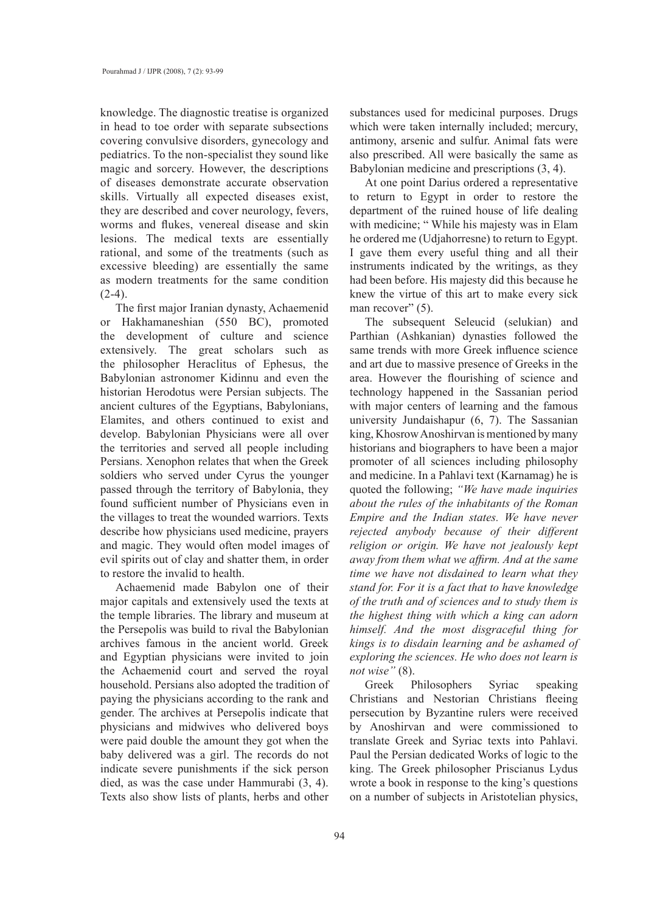knowledge. The diagnostic treatise is organized in head to toe order with separate subsections covering convulsive disorders, gynecology and pediatrics. To the non-specialist they sound like magic and sorcery. However, the descriptions of diseases demonstrate accurate observation skills. Virtually all expected diseases exist, they are described and cover neurology, fevers, worms and flukes, venereal disease and skin lesions. The medical texts are essentially rational, and some of the treatments (such as excessive bleeding) are essentially the same as modern treatments for the same condition  $(2-4)$ .

The first major Iranian dynasty, Achaemenid or Hakhamaneshian (550 BC), promoted the development of culture and science extensively. The great scholars such as the philosopher Heraclitus of Ephesus, the Babylonian astronomer Kidinnu and even the historian Herodotus were Persian subjects. The ancient cultures of the Egyptians, Babylonians, Elamites, and others continued to exist and develop. Babylonian Physicians were all over the territories and served all people including Persians. Xenophon relates that when the Greek soldiers who served under Cyrus the younger passed through the territory of Babylonia, they found sufficient number of Physicians even in the villages to treat the wounded warriors. Texts describe how physicians used medicine, prayers and magic. They would often model images of evil spirits out of clay and shatter them, in order to restore the invalid to health.

Achaemenid made Babylon one of their major capitals and extensively used the texts at the temple libraries. The library and museum at the Persepolis was build to rival the Babylonian archives famous in the ancient world. Greek and Egyptian physicians were invited to join the Achaemenid court and served the royal household. Persians also adopted the tradition of paying the physicians according to the rank and gender. The archives at Persepolis indicate that physicians and midwives who delivered boys were paid double the amount they got when the baby delivered was a girl. The records do not indicate severe punishments if the sick person died, as was the case under Hammurabi (3, 4). Texts also show lists of plants, herbs and other

substances used for medicinal purposes. Drugs which were taken internally included; mercury, antimony, arsenic and sulfur. Animal fats were also prescribed. All were basically the same as Babylonian medicine and prescriptions (3, 4).

At one point Darius ordered a representative to return to Egypt in order to restore the department of the ruined house of life dealing with medicine; "While his majesty was in Elam he ordered me (Udjahorresne) to return to Egypt. I gave them every useful thing and all their instruments indicated by the writings, as they had been before. His majesty did this because he knew the virtue of this art to make every sick man recover" (5).

The subsequent Seleucid (selukian) and Parthian (Ashkanian) dynasties followed the same trends with more Greek influence science and art due to massive presence of Greeks in the area. However the flourishing of science and technology happened in the Sassanian period with major centers of learning and the famous university Jundaishapur (6, 7). The Sassanian king, Khosrow Anoshirvan is mentioned by many historians and biographers to have been a major promoter of all sciences including philosophy and medicine. In a Pahlavi text (Karnamag) he is quoted the following; *"We have made inquiries about the rules of the inhabitants of the Roman Empire and the Indian states. We have never rejected anybody because of their different religion or origin. We have not jealously kept away from them what we affirm. And at the same time we have not disdained to learn what they stand for. For it is a fact that to have knowledge of the truth and of sciences and to study them is the highest thing with which a king can adorn himself. And the most disgraceful thing for kings is to disdain learning and be ashamed of exploring the sciences. He who does not learn is not wise"* (8).

Greek Philosophers Syriac speaking Christians and Nestorian Christians fleeing persecution by Byzantine rulers were received by Anoshirvan and were commissioned to translate Greek and Syriac texts into Pahlavi. Paul the Persian dedicated Works of logic to the king. The Greek philosopher Priscianus Lydus wrote a book in response to the king's questions on a number of subjects in Aristotelian physics,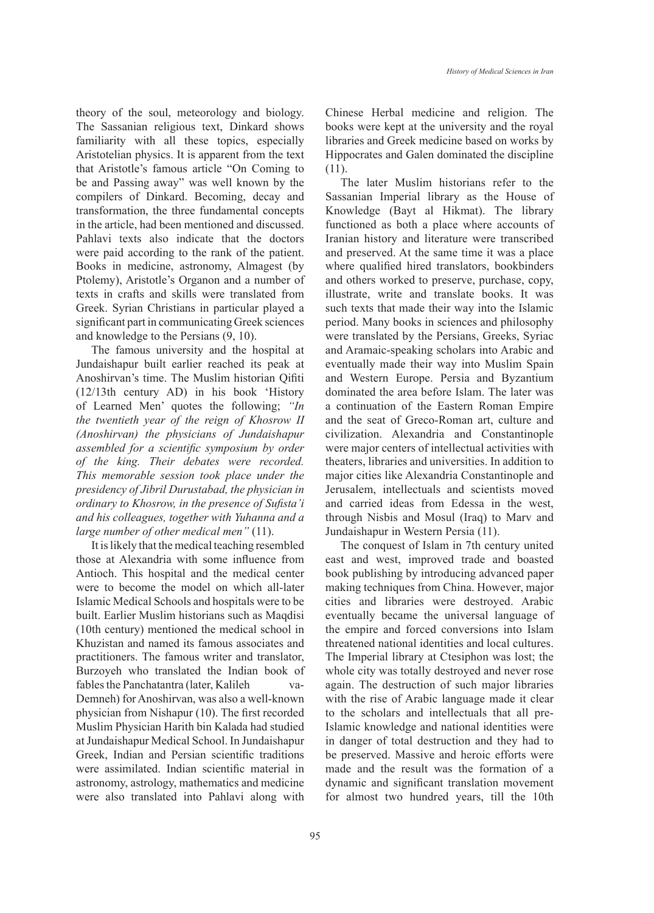theory of the soul, meteorology and biology. The Sassanian religious text, Dinkard shows familiarity with all these topics, especially Aristotelian physics. It is apparent from the text that Aristotle's famous article "On Coming to be and Passing away" was well known by the compilers of Dinkard. Becoming, decay and transformation, the three fundamental concepts in the article, had been mentioned and discussed. Pahlavi texts also indicate that the doctors were paid according to the rank of the patient. Books in medicine, astronomy, Almagest (by Ptolemy), Aristotle's Organon and a number of texts in crafts and skills were translated from Greek. Syrian Christians in particular played a significant part in communicating Greek sciences and knowledge to the Persians (9, 10).

The famous university and the hospital at Jundaishapur built earlier reached its peak at Anoshirvan's time. The Muslim historian Qifiti (12/13th century AD) in his book 'History of Learned Men' quotes the following; *"In the twentieth year of the reign of Khosrow II (Anoshirvan) the physicians of Jundaishapur assembled for a scientific symposium by order of the king. Their debates were recorded. This memorable session took place under the presidency of Jibril Durustabad, the physician in ordinary to Khosrow, in the presence of Sufista'i and his colleagues, together with Yuhanna and a large number of other medical men"* (11).

It is likely that the medical teaching resembled those at Alexandria with some influence from Antioch. This hospital and the medical center were to become the model on which all-later Islamic Medical Schools and hospitals were to be built. Earlier Muslim historians such as Maqdisi (10th century) mentioned the medical school in Khuzistan and named its famous associates and practitioners. The famous writer and translator, Burzoyeh who translated the Indian book of fables the Panchatantra (later, Kalileh va-Demneh) for Anoshirvan, was also a well-known physician from Nishapur (10). The first recorded Muslim Physician Harith bin Kalada had studied at Jundaishapur Medical School. In Jundaishapur Greek, Indian and Persian scientific traditions were assimilated. Indian scientific material in astronomy, astrology, mathematics and medicine were also translated into Pahlavi along with

Chinese Herbal medicine and religion. The books were kept at the university and the royal libraries and Greek medicine based on works by Hippocrates and Galen dominated the discipline (11).

The later Muslim historians refer to the Sassanian Imperial library as the House of Knowledge (Bayt al Hikmat). The library functioned as both a place where accounts of Iranian history and literature were transcribed and preserved. At the same time it was a place where qualified hired translators, bookbinders and others worked to preserve, purchase, copy, illustrate, write and translate books. It was such texts that made their way into the Islamic period. Many books in sciences and philosophy were translated by the Persians, Greeks, Syriac and Aramaic-speaking scholars into Arabic and eventually made their way into Muslim Spain and Western Europe. Persia and Byzantium dominated the area before Islam. The later was a continuation of the Eastern Roman Empire and the seat of Greco-Roman art, culture and civilization. Alexandria and Constantinople were major centers of intellectual activities with theaters, libraries and universities. In addition to major cities like Alexandria Constantinople and Jerusalem, intellectuals and scientists moved and carried ideas from Edessa in the west, through Nisbis and Mosul (Iraq) to Marv and Jundaishapur in Western Persia (11).

The conquest of Islam in 7th century united east and west, improved trade and boasted book publishing by introducing advanced paper making techniques from China. However, major cities and libraries were destroyed. Arabic eventually became the universal language of the empire and forced conversions into Islam threatened national identities and local cultures. The Imperial library at Ctesiphon was lost; the whole city was totally destroyed and never rose again. The destruction of such major libraries with the rise of Arabic language made it clear to the scholars and intellectuals that all pre-Islamic knowledge and national identities were in danger of total destruction and they had to be preserved. Massive and heroic efforts were made and the result was the formation of a dynamic and significant translation movement for almost two hundred years, till the 10th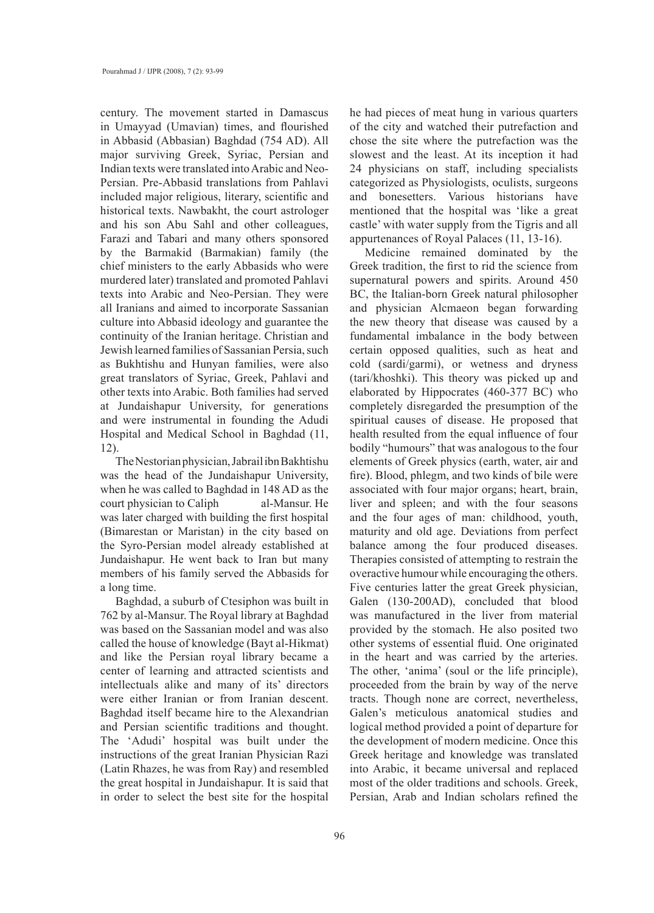century. The movement started in Damascus in Umayyad (Umavian) times, and flourished in Abbasid (Abbasian) Baghdad (754 AD). All major surviving Greek, Syriac, Persian and Indian texts were translated into Arabic and Neo-Persian. Pre-Abbasid translations from Pahlavi included major religious, literary, scientific and historical texts. Nawbakht, the court astrologer and his son Abu Sahl and other colleagues, Farazi and Tabari and many others sponsored by the Barmakid (Barmakian) family (the chief ministers to the early Abbasids who were murdered later) translated and promoted Pahlavi texts into Arabic and Neo-Persian. They were all Iranians and aimed to incorporate Sassanian culture into Abbasid ideology and guarantee the continuity of the Iranian heritage. Christian and Jewish learned families of Sassanian Persia, such as Bukhtishu and Hunyan families, were also great translators of Syriac, Greek, Pahlavi and other texts into Arabic. Both families had served at Jundaishapur University, for generations and were instrumental in founding the Adudi Hospital and Medical School in Baghdad (11, 12).

The Nestorian physician, Jabrail ibn Bakhtishu was the head of the Jundaishapur University, when he was called to Baghdad in 148 AD as the court physician to Caliph al-Mansur. He was later charged with building the first hospital (Bimarestan or Maristan) in the city based on the Syro-Persian model already established at Jundaishapur. He went back to Iran but many members of his family served the Abbasids for a long time.

Baghdad, a suburb of Ctesiphon was built in 762 by al-Mansur. The Royal library at Baghdad was based on the Sassanian model and was also called the house of knowledge (Bayt al-Hikmat) and like the Persian royal library became a center of learning and attracted scientists and intellectuals alike and many of its' directors were either Iranian or from Iranian descent. Baghdad itself became hire to the Alexandrian and Persian scientific traditions and thought. The 'Adudi' hospital was built under the instructions of the great Iranian Physician Razi (Latin Rhazes, he was from Ray) and resembled the great hospital in Jundaishapur. It is said that in order to select the best site for the hospital

he had pieces of meat hung in various quarters of the city and watched their putrefaction and chose the site where the putrefaction was the slowest and the least. At its inception it had 24 physicians on staff, including specialists categorized as Physiologists, oculists, surgeons and bonesetters. Various historians have mentioned that the hospital was 'like a great castle' with water supply from the Tigris and all appurtenances of Royal Palaces (11, 13-16).

Medicine remained dominated by the Greek tradition, the first to rid the science from supernatural powers and spirits. Around 450 BC, the Italian-born Greek natural philosopher and physician Alcmaeon began forwarding the new theory that disease was caused by a fundamental imbalance in the body between certain opposed qualities, such as heat and cold (sardi/garmi), or wetness and dryness (tari/khoshki). This theory was picked up and elaborated by Hippocrates (460-377 BC) who completely disregarded the presumption of the spiritual causes of disease. He proposed that health resulted from the equal influence of four bodily "humours" that was analogous to the four elements of Greek physics (earth, water, air and fire). Blood, phlegm, and two kinds of bile were associated with four major organs; heart, brain, liver and spleen; and with the four seasons and the four ages of man: childhood, youth, maturity and old age. Deviations from perfect balance among the four produced diseases. Therapies consisted of attempting to restrain the overactive humour while encouraging the others. Five centuries latter the great Greek physician, Galen (130-200AD), concluded that blood was manufactured in the liver from material provided by the stomach. He also posited two other systems of essential fluid. One originated in the heart and was carried by the arteries. The other, 'anima' (soul or the life principle), proceeded from the brain by way of the nerve tracts. Though none are correct, nevertheless, Galen's meticulous anatomical studies and logical method provided a point of departure for the development of modern medicine. Once this Greek heritage and knowledge was translated into Arabic, it became universal and replaced most of the older traditions and schools. Greek, Persian, Arab and Indian scholars refined the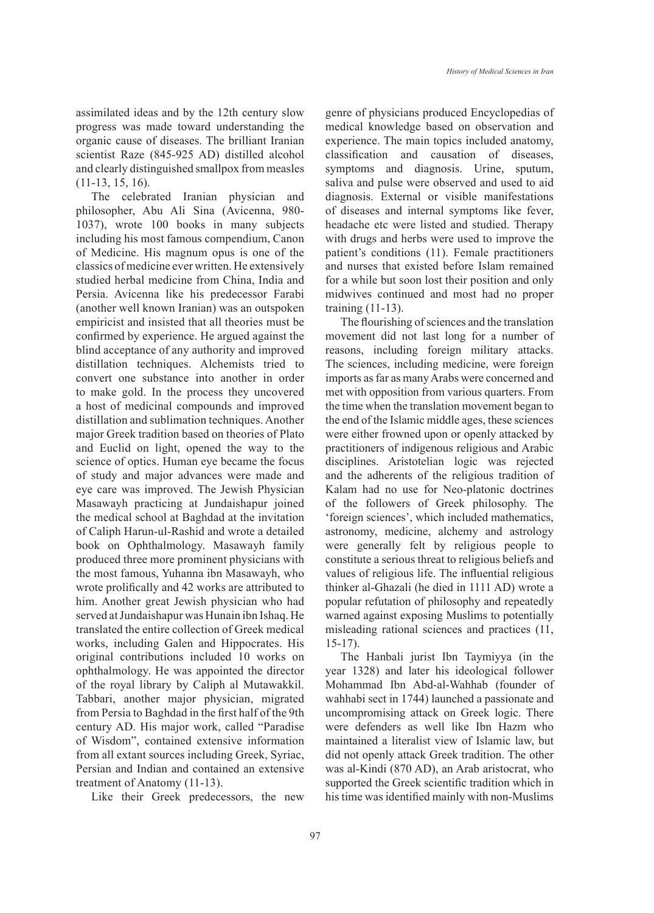assimilated ideas and by the 12th century slow progress was made toward understanding the organic cause of diseases. The brilliant Iranian scientist Raze (845-925 AD) distilled alcohol and clearly distinguished smallpox from measles (11-13, 15, 16).

The celebrated Iranian physician and philosopher, Abu Ali Sina (Avicenna, 980- 1037), wrote 100 books in many subjects including his most famous compendium, Canon of Medicine. His magnum opus is one of the classics of medicine ever written. He extensively studied herbal medicine from China, India and Persia. Avicenna like his predecessor Farabi (another well known Iranian) was an outspoken empiricist and insisted that all theories must be confirmed by experience. He argued against the blind acceptance of any authority and improved distillation techniques. Alchemists tried to convert one substance into another in order to make gold. In the process they uncovered a host of medicinal compounds and improved distillation and sublimation techniques. Another major Greek tradition based on theories of Plato and Euclid on light, opened the way to the science of optics. Human eye became the focus of study and major advances were made and eye care was improved. The Jewish Physician Masawayh practicing at Jundaishapur joined the medical school at Baghdad at the invitation of Caliph Harun-ul-Rashid and wrote a detailed book on Ophthalmology. Masawayh family produced three more prominent physicians with the most famous, Yuhanna ibn Masawayh, who wrote prolifically and 42 works are attributed to him. Another great Jewish physician who had served at Jundaishapur was Hunain ibn Ishaq. He translated the entire collection of Greek medical works, including Galen and Hippocrates. His original contributions included 10 works on ophthalmology. He was appointed the director of the royal library by Caliph al Mutawakkil. Tabbari, another major physician, migrated from Persia to Baghdad in the first half of the 9th century AD. His major work, called "Paradise of Wisdom", contained extensive information from all extant sources including Greek, Syriac, Persian and Indian and contained an extensive treatment of Anatomy (11-13).

Like their Greek predecessors, the new

genre of physicians produced Encyclopedias of medical knowledge based on observation and experience. The main topics included anatomy, classification and causation of diseases, symptoms and diagnosis. Urine, sputum, saliva and pulse were observed and used to aid diagnosis. External or visible manifestations of diseases and internal symptoms like fever, headache etc were listed and studied. Therapy with drugs and herbs were used to improve the patient's conditions (11). Female practitioners and nurses that existed before Islam remained for a while but soon lost their position and only midwives continued and most had no proper training (11-13).

The flourishing of sciences and the translation movement did not last long for a number of reasons, including foreign military attacks. The sciences, including medicine, were foreign imports as far as many Arabs were concerned and met with opposition from various quarters. From the time when the translation movement began to the end of the Islamic middle ages, these sciences were either frowned upon or openly attacked by practitioners of indigenous religious and Arabic disciplines. Aristotelian logic was rejected and the adherents of the religious tradition of Kalam had no use for Neo-platonic doctrines of the followers of Greek philosophy. The 'foreign sciences', which included mathematics, astronomy, medicine, alchemy and astrology were generally felt by religious people to constitute a serious threat to religious beliefs and values of religious life. The influential religious thinker al-Ghazali (he died in 1111 AD) wrote a popular refutation of philosophy and repeatedly warned against exposing Muslims to potentially misleading rational sciences and practices (11, 15-17).

The Hanbali jurist Ibn Taymiyya (in the year 1328) and later his ideological follower Mohammad Ibn Abd-al-Wahhab (founder of wahhabi sect in 1744) launched a passionate and uncompromising attack on Greek logic. There were defenders as well like Ibn Hazm who maintained a literalist view of Islamic law, but did not openly attack Greek tradition. The other was al-Kindi (870 AD), an Arab aristocrat, who supported the Greek scientific tradition which in his time was identified mainly with non-Muslims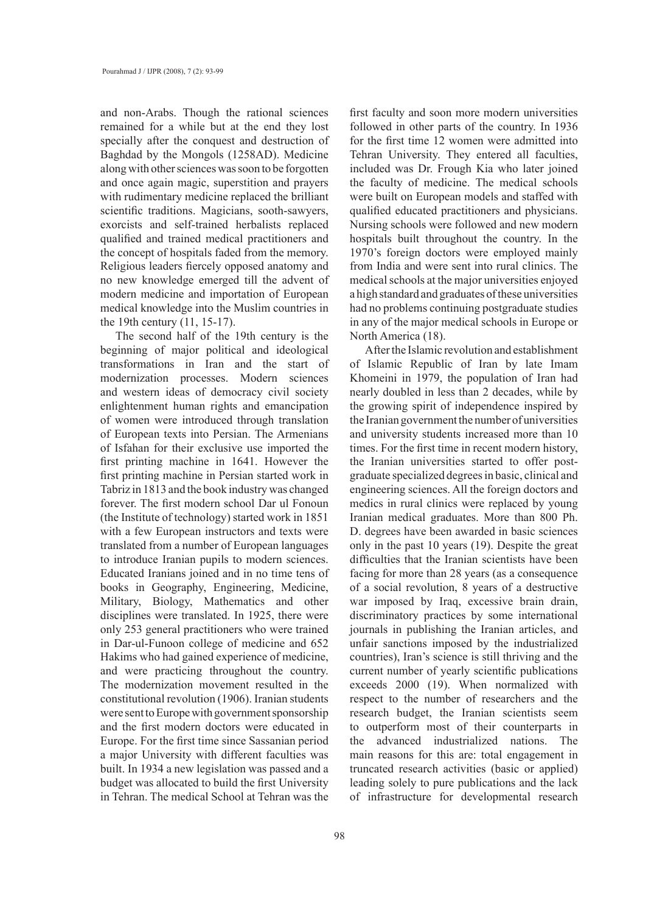and non-Arabs. Though the rational sciences remained for a while but at the end they lost specially after the conquest and destruction of Baghdad by the Mongols (1258AD). Medicine along with other sciences was soon to be forgotten and once again magic, superstition and prayers with rudimentary medicine replaced the brilliant scientific traditions. Magicians, sooth-sawyers, exorcists and self-trained herbalists replaced qualified and trained medical practitioners and the concept of hospitals faded from the memory. Religious leaders fiercely opposed anatomy and no new knowledge emerged till the advent of modern medicine and importation of European medical knowledge into the Muslim countries in the 19th century (11, 15-17).

The second half of the 19th century is the beginning of major political and ideological transformations in Iran and the start of modernization processes. Modern sciences and western ideas of democracy civil society enlightenment human rights and emancipation of women were introduced through translation of European texts into Persian. The Armenians of Isfahan for their exclusive use imported the first printing machine in 1641. However the first printing machine in Persian started work in Tabriz in 1813 and the book industry was changed forever. The first modern school Dar ul Fonoun (the Institute of technology) started work in 1851 with a few European instructors and texts were translated from a number of European languages to introduce Iranian pupils to modern sciences. Educated Iranians joined and in no time tens of books in Geography, Engineering, Medicine, Military, Biology, Mathematics and other disciplines were translated. In 1925, there were only 253 general practitioners who were trained in Dar-ul-Funoon college of medicine and 652 Hakims who had gained experience of medicine, and were practicing throughout the country. The modernization movement resulted in the constitutional revolution (1906). Iranian students were sent to Europe with government sponsorship and the first modern doctors were educated in Europe. For the first time since Sassanian period a major University with different faculties was built. In 1934 a new legislation was passed and a budget was allocated to build the first University in Tehran. The medical School at Tehran was the

first faculty and soon more modern universities followed in other parts of the country. In 1936 for the first time 12 women were admitted into Tehran University. They entered all faculties, included was Dr. Frough Kia who later joined the faculty of medicine. The medical schools were built on European models and staffed with qualified educated practitioners and physicians. Nursing schools were followed and new modern hospitals built throughout the country. In the 1970's foreign doctors were employed mainly from India and were sent into rural clinics. The medical schools at the major universities enjoyed a high standard and graduates of these universities had no problems continuing postgraduate studies in any of the major medical schools in Europe or North America (18).

After the Islamic revolution and establishment of Islamic Republic of Iran by late Imam Khomeini in 1979, the population of Iran had nearly doubled in less than 2 decades, while by the growing spirit of independence inspired by the Iranian government the number of universities and university students increased more than 10 times. For the first time in recent modern history, the Iranian universities started to offer postgraduate specialized degrees in basic, clinical and engineering sciences. All the foreign doctors and medics in rural clinics were replaced by young Iranian medical graduates. More than 800 Ph. D. degrees have been awarded in basic sciences only in the past 10 years (19). Despite the great difficulties that the Iranian scientists have been facing for more than 28 years (as a consequence of a social revolution, 8 years of a destructive war imposed by Iraq, excessive brain drain, discriminatory practices by some international journals in publishing the Iranian articles, and unfair sanctions imposed by the industrialized countries), Iran's science is still thriving and the current number of yearly scientific publications exceeds 2000 (19). When normalized with respect to the number of researchers and the research budget, the Iranian scientists seem to outperform most of their counterparts in the advanced industrialized nations. The main reasons for this are: total engagement in truncated research activities (basic or applied) leading solely to pure publications and the lack of infrastructure for developmental research